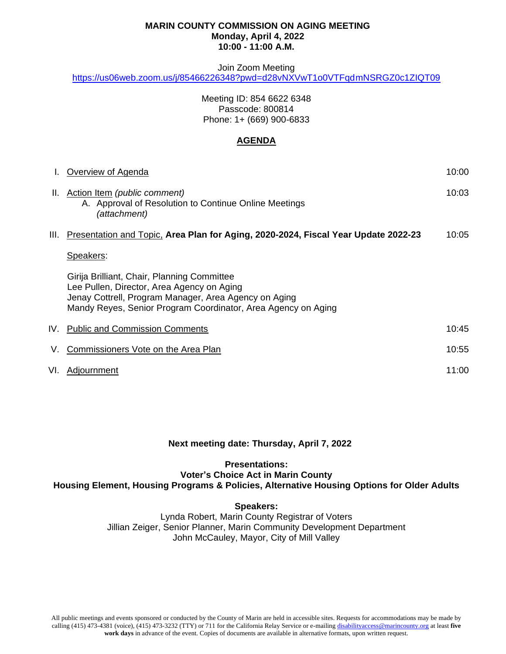#### **MARIN COUNTY COMMISSION ON AGING MEETING Monday, April 4, 2022 10:00 - 11:00 A.M.**

#### Join Zoom Meeting

<https://us06web.zoom.us/j/85466226348?pwd=d28vNXVwT1o0VTFqdmNSRGZ0c1ZIQT09>

Meeting ID: 854 6622 6348 Passcode: 800814 Phone: 1+ (669) 900-6833

### **AGENDA**

| L.   | Overview of Agenda                                                                                                                                                                                                  | 10:00 |
|------|---------------------------------------------------------------------------------------------------------------------------------------------------------------------------------------------------------------------|-------|
|      | II. Action Item (public comment)<br>A. Approval of Resolution to Continue Online Meetings<br>(attachment)                                                                                                           | 10:03 |
| III. | Presentation and Topic, Area Plan for Aging, 2020-2024, Fiscal Year Update 2022-23                                                                                                                                  | 10:05 |
|      | Speakers:                                                                                                                                                                                                           |       |
|      | Girija Brilliant, Chair, Planning Committee<br>Lee Pullen, Director, Area Agency on Aging<br>Jenay Cottrell, Program Manager, Area Agency on Aging<br>Mandy Reyes, Senior Program Coordinator, Area Agency on Aging |       |
|      | IV. Public and Commission Comments                                                                                                                                                                                  | 10:45 |
| V.   | Commissioners Vote on the Area Plan                                                                                                                                                                                 | 10:55 |
| VI.  | Adjournment                                                                                                                                                                                                         | 11:00 |

# **Next meeting date: Thursday, April 7, 2022**

### **Presentations: Voter's Choice Act in Marin County Housing Element, Housing Programs & Policies, Alternative Housing Options for Older Adults**

#### **Speakers:**

Lynda Robert, Marin County Registrar of Voters Jillian Zeiger, Senior Planner, Marin Community Development Department John McCauley, Mayor, City of Mill Valley